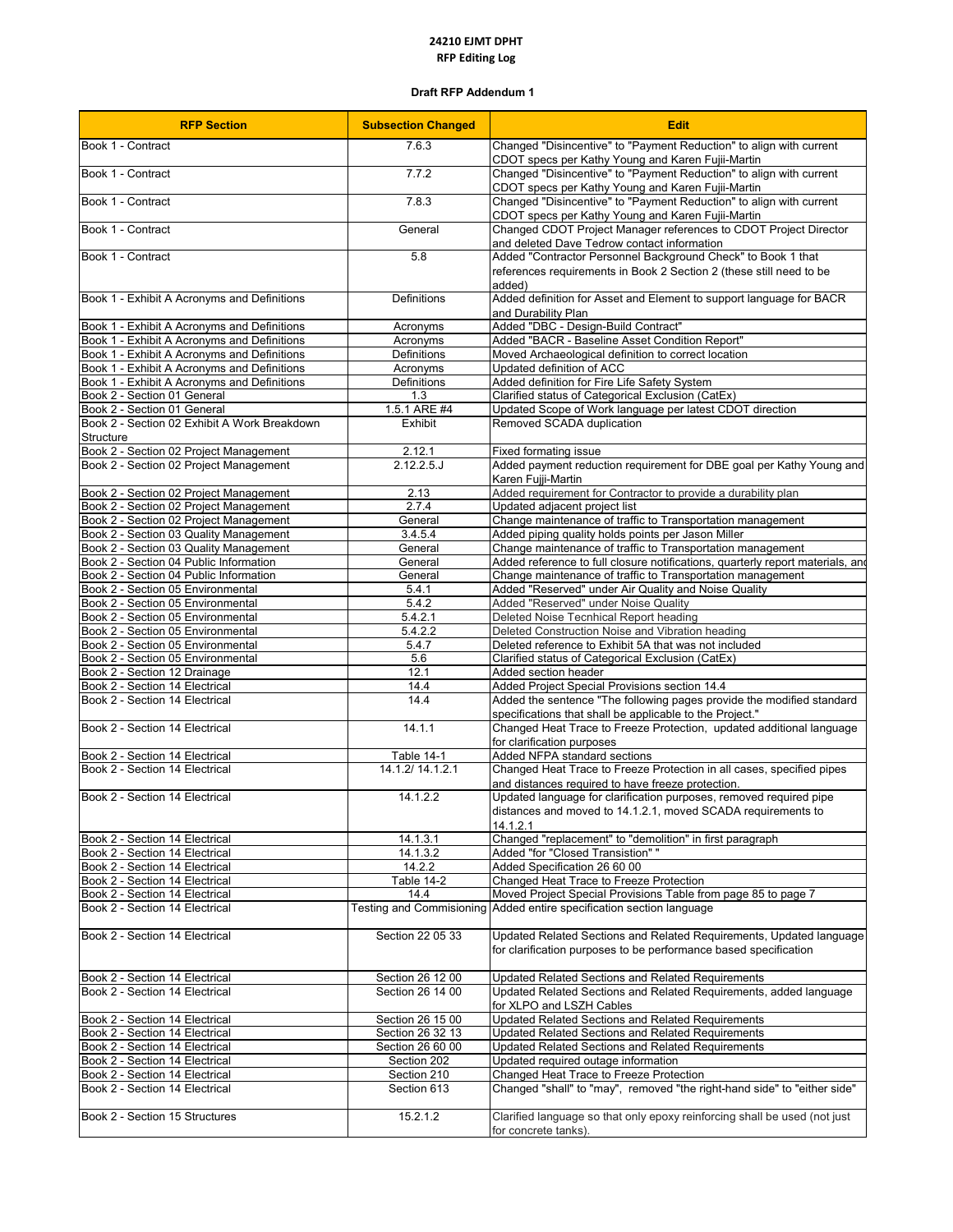## **24210 EJMT DPHT RFP Editing Log**

## **Draft RFP Addendum 1**

| <b>RFP Section</b>                                                               | <b>Subsection Changed</b>               | <b>Edit</b>                                                                                                                                    |
|----------------------------------------------------------------------------------|-----------------------------------------|------------------------------------------------------------------------------------------------------------------------------------------------|
| Book 1 - Contract                                                                | 7.6.3                                   | Changed "Disincentive" to "Payment Reduction" to align with current<br>CDOT specs per Kathy Young and Karen Fujii-Martin                       |
| Book 1 - Contract                                                                | 7.7.2                                   | Changed "Disincentive" to "Payment Reduction" to align with current<br>CDOT specs per Kathy Young and Karen Fujii-Martin                       |
| Book 1 - Contract                                                                | 7.8.3                                   | Changed "Disincentive" to "Payment Reduction" to align with current<br>CDOT specs per Kathy Young and Karen Fujii-Martin                       |
| Book 1 - Contract                                                                | General                                 | Changed CDOT Project Manager references to CDOT Project Director<br>and deleted Dave Tedrow contact information                                |
| Book 1 - Contract                                                                | 5.8                                     | Added "Contractor Personnel Background Check" to Book 1 that<br>references requirements in Book 2 Section 2 (these still need to be<br>added)  |
| Book 1 - Exhibit A Acronyms and Definitions                                      | Definitions                             | Added definition for Asset and Element to support language for BACR<br>and Durability Plan                                                     |
| Book 1 - Exhibit A Acronyms and Definitions                                      | Acronyms                                | Added "DBC - Design-Build Contract"                                                                                                            |
| Book 1 - Exhibit A Acronyms and Definitions                                      | Acronyms                                | Added "BACR - Baseline Asset Condition Report"                                                                                                 |
| Book 1 - Exhibit A Acronyms and Definitions                                      | Definitions                             | Moved Archaeological definition to correct location                                                                                            |
| Book 1 - Exhibit A Acronyms and Definitions                                      | Acronyms                                | Updated definition of ACC                                                                                                                      |
| Book 1 - Exhibit A Acronyms and Definitions<br>Book 2 - Section 01 General       | Definitions<br>1.3                      | Added definition for Fire Life Safety System<br>Clarified status of Categorical Exclusion (CatEx)                                              |
| Book 2 - Section 01 General                                                      | 1.5.1 ARE #4                            | Updated Scope of Work language per latest CDOT direction                                                                                       |
| Book 2 - Section 02 Exhibit A Work Breakdown                                     | Exhibit                                 | Removed SCADA duplication                                                                                                                      |
| <b>Structure</b>                                                                 |                                         |                                                                                                                                                |
| Book 2 - Section 02 Project Management                                           | 2.12.1                                  | Fixed formating issue                                                                                                                          |
| Book 2 - Section 02 Project Management                                           | 2.12.2.5                                | Added payment reduction requirement for DBE goal per Kathy Young and<br>Karen Fujji-Martin                                                     |
| Book 2 - Section 02 Project Management                                           | 2.13                                    | Added requirement for Contractor to provide a durability plan                                                                                  |
| Book 2 - Section 02 Project Management                                           | 2.7.4                                   | Updated adjacent project list                                                                                                                  |
| Book 2 - Section 02 Project Management                                           | General                                 | Change maintenance of traffic to Transportation management<br>Added piping quality holds points per Jason Miller                               |
| Book 2 - Section 03 Quality Management<br>Book 2 - Section 03 Quality Management | 3.4.5.4<br>General                      | Change maintenance of traffic to Transportation management                                                                                     |
| Book 2 - Section 04 Public Information                                           | General                                 | Added reference to full closure notifications, quarterly report materials, and                                                                 |
| Book 2 - Section 04 Public Information                                           | General                                 | Change maintenance of traffic to Transportation management                                                                                     |
| Book 2 - Section 05 Environmental                                                | 5.4.1                                   | Added "Reserved" under Air Quality and Noise Quality                                                                                           |
| Book 2 - Section 05 Environmental                                                | 5.4.2                                   | Added "Reserved" under Noise Quality                                                                                                           |
| Book 2 - Section 05 Environmental                                                | 5.4.2.1                                 | Deleted Noise Tecnhical Report heading                                                                                                         |
| Book 2 - Section 05 Environmental                                                | 5.4.2.2                                 | Deleted Construction Noise and Vibration heading                                                                                               |
| Book 2 - Section 05 Environmental                                                | 5.4.7                                   | Deleted reference to Exhibit 5A that was not included                                                                                          |
| Book 2 - Section 05 Environmental                                                | 5.6                                     | Clarified status of Categorical Exclusion (CatEx)                                                                                              |
| Book 2 - Section 12 Drainage<br>Book 2 - Section 14 Electrical                   | 12.1<br>14.4                            | Added section header<br>Added Project Special Provisions section 14.4                                                                          |
| Book 2 - Section 14 Electrical                                                   | 14.4                                    | Added the sentence "The following pages provide the modified standard                                                                          |
|                                                                                  |                                         | specifications that shall be applicable to the Project."                                                                                       |
| Book 2 - Section 14 Electrical                                                   | 14.1.1                                  | Changed Heat Trace to Freeze Protection, updated additional language<br>for clarification purposes                                             |
| Book 2 - Section 14 Electrical                                                   | Table 14-1                              | Added NFPA standard sections                                                                                                                   |
| Book 2 - Section 14 Electrical                                                   | 14.1.2/ 14.1.2.1                        | Changed Heat Trace to Freeze Protection in all cases, specified pipes<br>and distances required to have freeze protection.                     |
| Book 2 - Section 14 Electrical                                                   | 14.1.2.2                                | Updated language for clarification purposes, removed required pipe<br>distances and moved to 14.1.2.1, moved SCADA requirements to<br>14.1.2.1 |
| Book 2 - Section 14 Electrical                                                   | 14.1.3.1                                | Changed "replacement" to "demolition" in first paragraph                                                                                       |
| Book 2 - Section 14 Electrical                                                   | 14.1.3.2                                | Added "for "Closed Transistion""                                                                                                               |
| Book 2 - Section 14 Electrical                                                   | 14.2.2                                  | Added Specification 26 60 00                                                                                                                   |
| Book 2 - Section 14 Electrical                                                   | Table 14-2                              | Changed Heat Trace to Freeze Protection                                                                                                        |
| Book 2 - Section 14 Electrical<br>Book 2 - Section 14 Electrical                 | 14.4<br><b>Testing and Commisioning</b> | Moved Project Special Provisions Table from page 85 to page 7<br>Added entire specification section language                                   |
| Book 2 - Section 14 Electrical                                                   | Section 22 05 33                        | Updated Related Sections and Related Requirements, Updated language<br>for clarification purposes to be performance based specification        |
| Book 2 - Section 14 Electrical                                                   | Section 26 12 00                        | Updated Related Sections and Related Requirements                                                                                              |
| Book 2 - Section 14 Electrical                                                   | Section 26 14 00                        | Updated Related Sections and Related Requirements, added language<br>for XLPO and LSZH Cables                                                  |
| Book 2 - Section 14 Electrical                                                   | Section 26 15 00                        | <b>Updated Related Sections and Related Requirements</b>                                                                                       |
| Book 2 - Section 14 Electrical                                                   | Section 26 32 13                        | Updated Related Sections and Related Requirements                                                                                              |
| Book 2 - Section 14 Electrical                                                   | Section 26 60 00                        | Updated Related Sections and Related Requirements                                                                                              |
| Book 2 - Section 14 Electrical                                                   | Section 202                             | Updated required outage information                                                                                                            |
| Book 2 - Section 14 Electrical<br>Book 2 - Section 14 Electrical                 | Section 210<br>Section 613              | Changed Heat Trace to Freeze Protection<br>Changed "shall" to "may", removed "the right-hand side" to "either side"                            |
| Book 2 - Section 15 Structures                                                   | 15.2.1.2                                | Clarified language so that only epoxy reinforcing shall be used (not just                                                                      |
|                                                                                  |                                         | for concrete tanks).                                                                                                                           |